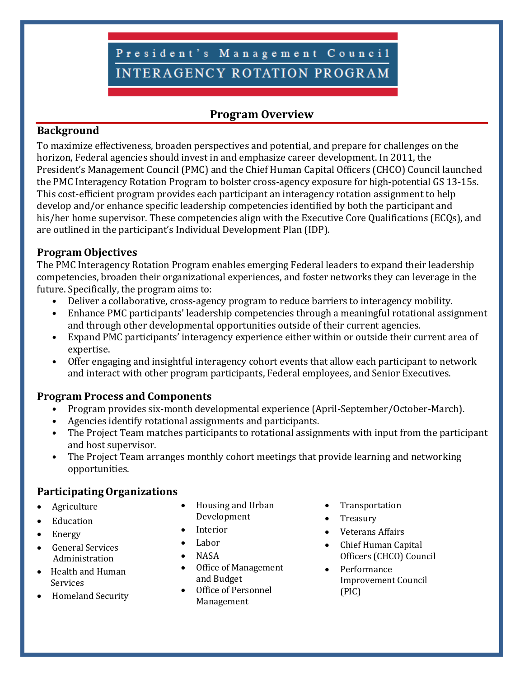# President's Management Council **INTERAGENCY ROTATION PROGRAM**

# **Program Overview**

# **Background**

To maximize effectiveness, broaden perspectives and potential, and prepare for challenges on the horizon, Federal agencies should invest in and emphasize career development. In 2011, the President's Management Council (PMC) and the Chief Human Capital Officers (CHCO) Council launched the PMC Interagency Rotation Program to bolster cross-agency exposure for high-potential GS 13-15s. This cost-efficient program provides each participant an interagency rotation assignment to help develop and/or enhance specific leadership competencies identified by both the participant and his/her home supervisor. These competencies align with the Executive Core Qualifications (ECQs), and are outlined in the participant's Individual Development Plan (IDP).

# **Program Objectives**

The PMC Interagency Rotation Program enables emerging Federal leaders to expand their leadership competencies, broaden their organizational experiences, and foster networks they can leverage in the future. Specifically, the program aims to:

- Deliver a collaborative, cross-agency program to reduce barriers to interagency mobility.
- Enhance PMC participants' leadership competencies through a meaningful rotational assignment and through other developmental opportunities outside of their current agencies.
- Expand PMC participants' interagency experience either within or outside their current area of expertise.
- Offer engaging and insightful interagency cohort events that allow each participant to network and interact with other program participants, Federal employees, and Senior Executives.

# **Program Process and Components**

- Program provides six-month developmental experience (April-September/October-March).
- Agencies identify rotational assignments and participants.
- The Project Team matches participants to rotational assignments with input from the participant and host supervisor.
- The Project Team arranges monthly cohort meetings that provide learning and networking opportunities.

# **ParticipatingOrganizations**

- Agriculture
- **Education**
- Energy
- General Services Administration
- Health and Human Services
- Homeland Security
- Housing and Urban Development
- **Interior**
- Labor
- NASA
- Office of Management and Budget
- Office of Personnel Management
- Transportation
- Treasury
- Veterans Affairs
- Chief Human Capital Officers (CHCO) Council
- Performance Improvement Council (PIC)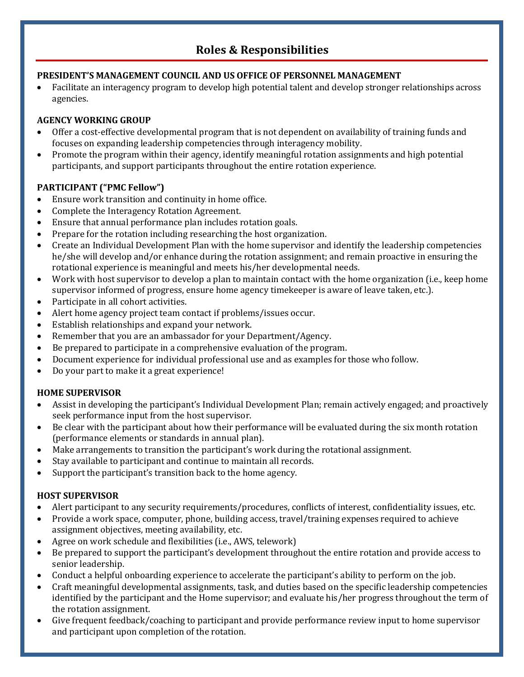# **Roles & Responsibilities**

## **PRESIDENT'S MANAGEMENT COUNCIL AND US OFFICE OF PERSONNEL MANAGEMENT**

• Facilitate an interagency program to develop high potential talent and develop stronger relationships across agencies.

### **AGENCY WORKING GROUP**

- Offer a cost-effective developmental program that is not dependent on availability of training funds and focuses on expanding leadership competencies through interagency mobility.
- Promote the program within their agency, identify meaningful rotation assignments and high potential participants, and support participants throughout the entire rotation experience.

## **PARTICIPANT ("PMC Fellow")**

- Ensure work transition and continuity in home office.<br>• Complete the Interagency Rotation Agreement.
- Complete the Interagency Rotation Agreement.
- Ensure that annual performance plan includes rotation goals.<br>• Prepare for the rotation including researching the host organi
- Prepare for the rotation including researching the host organization.
- Create an Individual Development Plan with the home supervisor and identify the leadership competencies he/she will develop and/or enhance during the rotation assignment; and remain proactive in ensuring the rotational experience is meaningful and meets his/her developmental needs.
- Work with host supervisor to develop a plan to maintain contact with the home organization (i.e., keep home supervisor informed of progress, ensure home agency timekeeper is aware of leave taken, etc.).
- Participate in all cohort activities.
- Alert home agency project team contact if problems/issues occur.
- Establish relationships and expand your network.
- Remember that you are an ambassador for your Department/Agency.
- Be prepared to participate in a comprehensive evaluation of the program.
- Document experience for individual professional use and as examples for those who follow.
- Do your part to make it a great experience!

## **HOME SUPERVISOR**

- Assist in developing the participant's Individual Development Plan; remain actively engaged; and proactively seek performance input from the host supervisor.
- Be clear with the participant about how their performance will be evaluated during the six month rotation (performance elements or standards in annual plan).
- Make arrangements to transition the participant's work during the rotational assignment.
- Stay available to participant and continue to maintain all records.
- Support the participant's transition back to the home agency.

## **HOST SUPERVISOR**

- Alert participant to any security requirements/procedures, conflicts of interest, confidentiality issues, etc.
- Provide a work space, computer, phone, building access, travel/training expenses required to achieve assignment objectives, meeting availability, etc.
- Agree on work schedule and flexibilities (i.e., AWS, telework)
- Be prepared to support the participant's development throughout the entire rotation and provide access to senior leadership.
- Conduct a helpful onboarding experience to accelerate the participant's ability to perform on the job.
- Craft meaningful developmental assignments, task, and duties based on the specific leadership competencies identified by the participant and the Home supervisor; and evaluate his/her progress throughout the term of the rotation assignment.
- Give frequent feedback/coaching to participant and provide performance review input to home supervisor and participant upon completion of the rotation.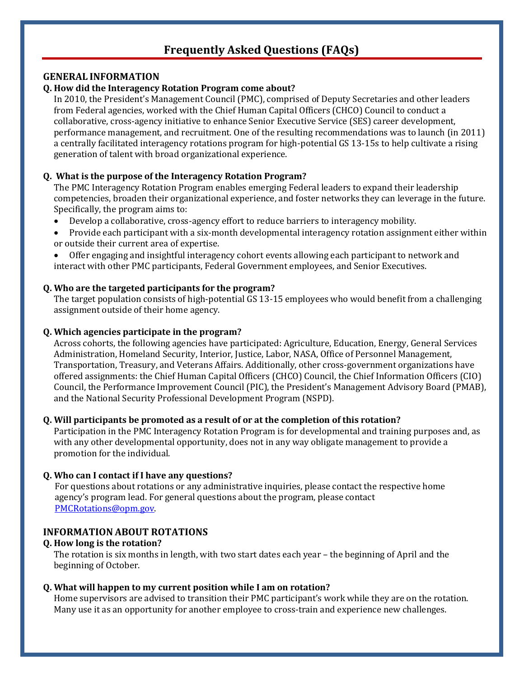# **Frequently Asked Questions (FAQs)**

#### **GENERAL INFORMATION**

#### **Q. How did the Interagency Rotation Program come about?**

In 2010, the President's Management Council (PMC), comprised of Deputy Secretaries and other leaders from Federal agencies, worked with the Chief Human Capital Officers (CHCO) Council to conduct a collaborative, cross-agency initiative to enhance Senior Executive Service (SES) career development, performance management, and recruitment. One of the resulting recommendations was to launch (in 2011) a centrally facilitated interagency rotations program for high-potential GS 13-15s to help cultivate a rising generation of talent with broad organizational experience.

#### **Q. What is the purpose of the Interagency Rotation Program?**

The PMC Interagency Rotation Program enables emerging Federal leaders to expand their leadership competencies, broaden their organizational experience, and foster networks they can leverage in the future. Specifically, the program aims to:<br>• Develon a collaborative cross

- Develop a collaborative, cross-agency effort to reduce barriers to interagency mobility.
- Provide each participant with a six-month developmental interagency rotation assignment either within or outside their current area of expertise.
- Offer engaging and insightful interagency cohort events allowing each participant to network and interact with other PMC participants, Federal Government employees, and Senior Executives.

#### **Q. Who are the targeted participants for the program?**

The target population consists of high-potential GS 13-15 employees who would benefit from a challenging assignment outside of their home agency.

#### **Q. Which agencies participate in the program?**

Across cohorts, the following agencies have participated: Agriculture, Education, Energy, General Services Administration, Homeland Security, Interior, Justice, Labor, NASA, Office of Personnel Management, Transportation, Treasury, and Veterans Affairs. Additionally, other cross-government organizations have offered assignments: the Chief Human Capital Officers (CHCO) Council, the Chief Information Officers (CIO) Council, the Performance Improvement Council (PIC), the President's Management Advisory Board (PMAB), and the National Security Professional Development Program (NSPD).

#### **Q. Will participants be promoted as a result of or at the completion of this rotation?**

Participation in the PMC Interagency Rotation Program is for developmental and training purposes and, as with any other developmental opportunity, does not in any way obligate management to provide a promotion for the individual.

#### **Q. Who can I contact if I have any questions?**

For questions about rotations or any administrative inquiries, please contact the respective home agency's program lead. For general questions about the program, please contact [PMCRotations@opm.gov.](mailto:PMCRotations@opm.gov)

#### **INFORMATION ABOUT ROTATIONS**

#### **Q. How long is the rotation?**

The rotation is six months in length, with two start dates each year – the beginning of April and the beginning of October.

#### **Q. What will happen to my current position while I am on rotation?**

Home supervisors are advised to transition their PMC participant's work while they are on the rotation. Many use it as an opportunity for another employee to cross-train and experience new challenges.